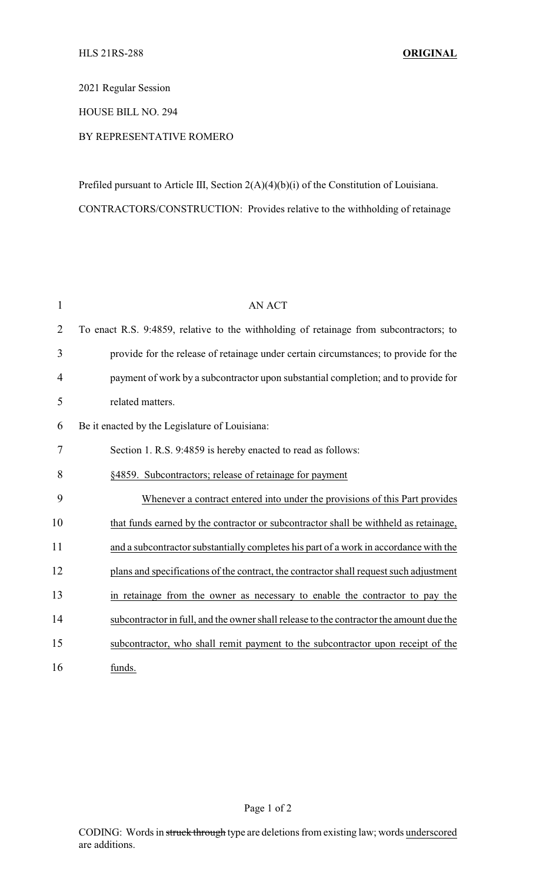2021 Regular Session

HOUSE BILL NO. 294

## BY REPRESENTATIVE ROMERO

Prefiled pursuant to Article III, Section 2(A)(4)(b)(i) of the Constitution of Louisiana. CONTRACTORS/CONSTRUCTION: Provides relative to the withholding of retainage

| $\mathbf 1$    | <b>AN ACT</b>                                                                           |
|----------------|-----------------------------------------------------------------------------------------|
| $\overline{2}$ | To enact R.S. 9:4859, relative to the withholding of retainage from subcontractors; to  |
| 3              | provide for the release of retainage under certain circumstances; to provide for the    |
| $\overline{4}$ | payment of work by a subcontractor upon substantial completion; and to provide for      |
| 5              | related matters.                                                                        |
| 6              | Be it enacted by the Legislature of Louisiana:                                          |
| 7              | Section 1. R.S. 9:4859 is hereby enacted to read as follows:                            |
| 8              | §4859. Subcontractors; release of retainage for payment                                 |
| 9              | Whenever a contract entered into under the provisions of this Part provides             |
| 10             | that funds earned by the contractor or subcontractor shall be withheld as retainage,    |
| 11             | and a subcontractor substantially completes his part of a work in accordance with the   |
| 12             | plans and specifications of the contract, the contractor shall request such adjustment  |
| 13             | in retainage from the owner as necessary to enable the contractor to pay the            |
| 14             | subcontractor in full, and the owner shall release to the contractor the amount due the |
| 15             | subcontractor, who shall remit payment to the subcontractor upon receipt of the         |
| 16             | funds.                                                                                  |